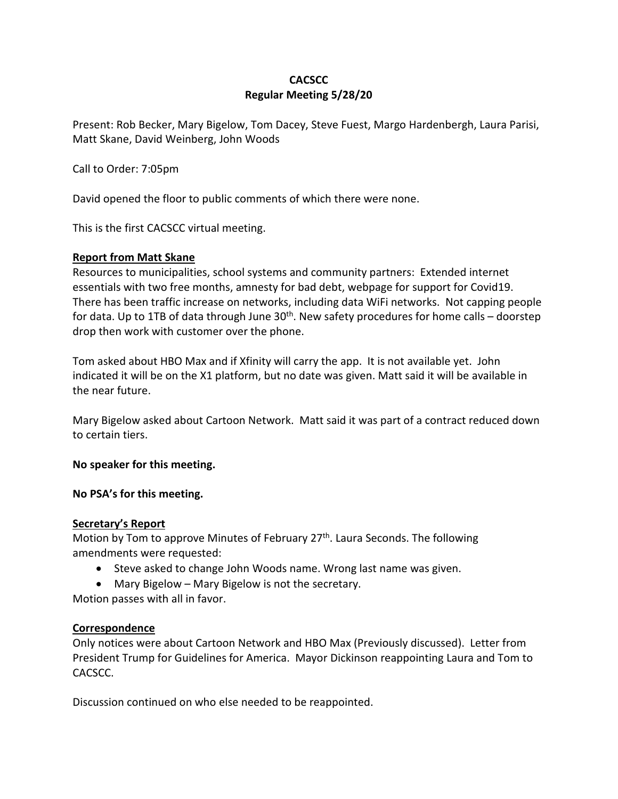# **CACSCC Regular Meeting 5/28/20**

Present: Rob Becker, Mary Bigelow, Tom Dacey, Steve Fuest, Margo Hardenbergh, Laura Parisi, Matt Skane, David Weinberg, John Woods

Call to Order: 7:05pm

David opened the floor to public comments of which there were none.

This is the first CACSCC virtual meeting.

#### **Report from Matt Skane**

Resources to municipalities, school systems and community partners: Extended internet essentials with two free months, amnesty for bad debt, webpage for support for Covid19. There has been traffic increase on networks, including data WiFi networks. Not capping people for data. Up to 1TB of data through June  $30<sup>th</sup>$ . New safety procedures for home calls – doorstep drop then work with customer over the phone.

Tom asked about HBO Max and if Xfinity will carry the app. It is not available yet. John indicated it will be on the X1 platform, but no date was given. Matt said it will be available in the near future.

Mary Bigelow asked about Cartoon Network. Matt said it was part of a contract reduced down to certain tiers.

#### **No speaker for this meeting.**

**No PSA's for this meeting.** 

### **Secretary's Report**

Motion by Tom to approve Minutes of February 27<sup>th</sup>. Laura Seconds. The following amendments were requested:

- Steve asked to change John Woods name. Wrong last name was given.
- Mary Bigelow Mary Bigelow is not the secretary.

Motion passes with all in favor.

#### **Correspondence**

Only notices were about Cartoon Network and HBO Max (Previously discussed). Letter from President Trump for Guidelines for America. Mayor Dickinson reappointing Laura and Tom to CACSCC.

Discussion continued on who else needed to be reappointed.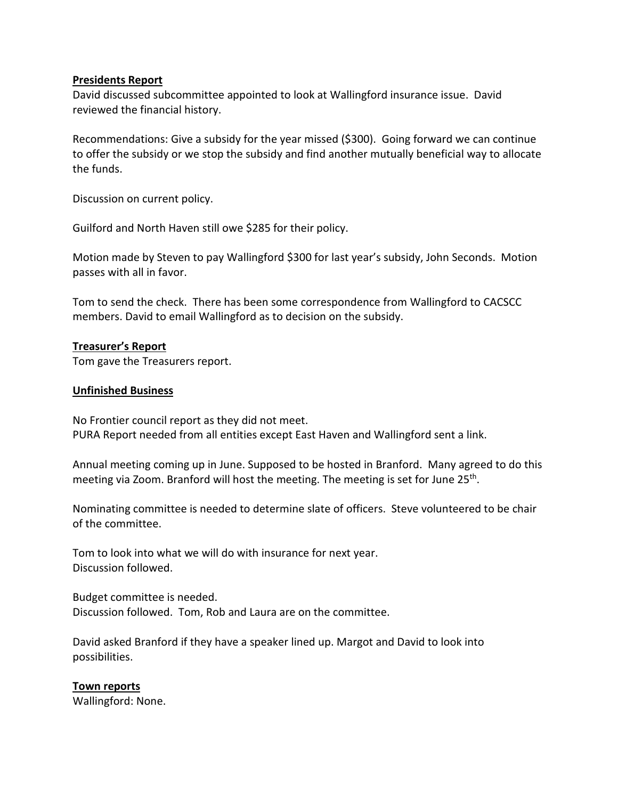## **Presidents Report**

David discussed subcommittee appointed to look at Wallingford insurance issue. David reviewed the financial history.

Recommendations: Give a subsidy for the year missed (\$300). Going forward we can continue to offer the subsidy or we stop the subsidy and find another mutually beneficial way to allocate the funds.

Discussion on current policy.

Guilford and North Haven still owe \$285 for their policy.

Motion made by Steven to pay Wallingford \$300 for last year's subsidy, John Seconds. Motion passes with all in favor.

Tom to send the check. There has been some correspondence from Wallingford to CACSCC members. David to email Wallingford as to decision on the subsidy.

## **Treasurer's Report**

Tom gave the Treasurers report.

#### **Unfinished Business**

No Frontier council report as they did not meet. PURA Report needed from all entities except East Haven and Wallingford sent a link.

Annual meeting coming up in June. Supposed to be hosted in Branford. Many agreed to do this meeting via Zoom. Branford will host the meeting. The meeting is set for June 25<sup>th</sup>.

Nominating committee is needed to determine slate of officers. Steve volunteered to be chair of the committee.

Tom to look into what we will do with insurance for next year. Discussion followed.

Budget committee is needed. Discussion followed. Tom, Rob and Laura are on the committee.

David asked Branford if they have a speaker lined up. Margot and David to look into possibilities.

#### **Town reports**

Wallingford: None.